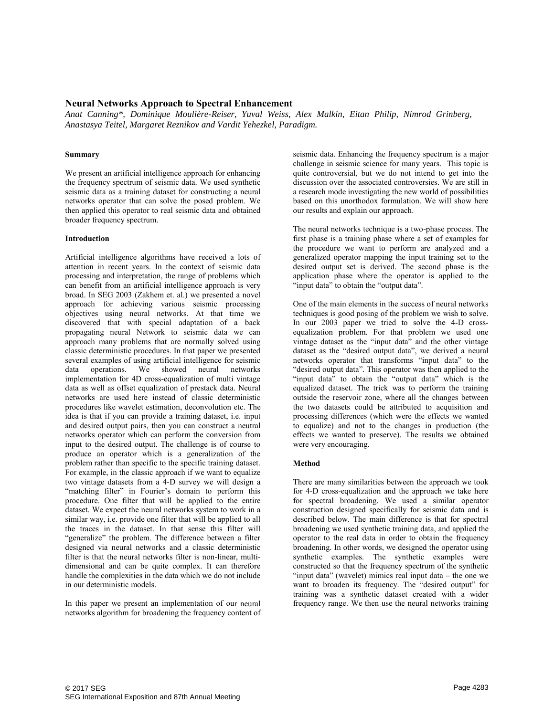## **Neural Networks Approach to Spectral Enhancement**

*Anat Canning\*, Dominique Moulière-Reiser, Yuval Weiss, Alex Malkin, Eitan Philip, Nimrod Grinberg, Anastasya Teitel, Margaret Reznikov and Vardit Yehezkel, Paradigm.* 

### **Summary**

We present an artificial intelligence approach for enhancing the frequency spectrum of seismic data. We used synthetic seismic data as a training dataset for constructing a neural networks operator that can solve the posed problem. We then applied this operator to real seismic data and obtained broader frequency spectrum.

### **Introduction**

Artificial intelligence algorithms have received a lots of attention in recent years. In the context of seismic data processing and interpretation, the range of problems which can benefit from an artificial intelligence approach is very broad. In SEG 2003 (Zakhem et. al.) we presented a novel approach for achieving various seismic processing objectives using neural networks. At that time we discovered that with special adaptation of a back propagating neural Network to seismic data we can approach many problems that are normally solved using classic deterministic procedures. In that paper we presented several examples of using artificial intelligence for seismic data operations. We showed neural networks implementation for 4D cross-equalization of multi vintage data as well as offset equalization of prestack data. Neural networks are used here instead of classic deterministic procedures like wavelet estimation, deconvolution etc. The idea is that if you can provide a training dataset, i.e. input and desired output pairs, then you can construct a neutral networks operator which can perform the conversion from input to the desired output. The challenge is of course to produce an operator which is a generalization of the problem rather than specific to the specific training dataset. For example, in the classic approach if we want to equalize two vintage datasets from a 4-D survey we will design a "matching filter" in Fourier's domain to perform this procedure. One filter that will be applied to the entire dataset. We expect the neural networks system to work in a similar way, i.e. provide one filter that will be applied to all the traces in the dataset. In that sense this filter will "generalize" the problem. The difference between a filter designed via neural networks and a classic deterministic filter is that the neural networks filter is non-linear, multidimensional and can be quite complex. It can therefore handle the complexities in the data which we do not include in our deterministic models.

In this paper we present an implementation of our neural networks algorithm for broadening the frequency content of seismic data. Enhancing the frequency spectrum is a major challenge in seismic science for many years. This topic is quite controversial, but we do not intend to get into the discussion over the associated controversies. We are still in a research mode investigating the new world of possibilities based on this unorthodox formulation. We will show here our results and explain our approach.

The neural networks technique is a two-phase process. The first phase is a training phase where a set of examples for the procedure we want to perform are analyzed and a generalized operator mapping the input training set to the desired output set is derived. The second phase is the application phase where the operator is applied to the "input data" to obtain the "output data".

One of the main elements in the success of neural networks techniques is good posing of the problem we wish to solve. In our 2003 paper we tried to solve the 4-D crossequalization problem. For that problem we used one vintage dataset as the "input data" and the other vintage dataset as the "desired output data", we derived a neural networks operator that transforms "input data" to the "desired output data". This operator was then applied to the "input data" to obtain the "output data" which is the equalized dataset. The trick was to perform the training outside the reservoir zone, where all the changes between the two datasets could be attributed to acquisition and processing differences (which were the effects we wanted to equalize) and not to the changes in production (the effects we wanted to preserve). The results we obtained were very encouraging.

## **Method**

There are many similarities between the approach we took for 4-D cross-equalization and the approach we take here for spectral broadening. We used a similar operator construction designed specifically for seismic data and is described below. The main difference is that for spectral broadening we used synthetic training data, and applied the operator to the real data in order to obtain the frequency broadening. In other words, we designed the operator using synthetic examples. The synthetic examples were constructed so that the frequency spectrum of the synthetic "input data" (wavelet) mimics real input data – the one we want to broaden its frequency. The "desired output" for training was a synthetic dataset created with a wider frequency range. We then use the neural networks training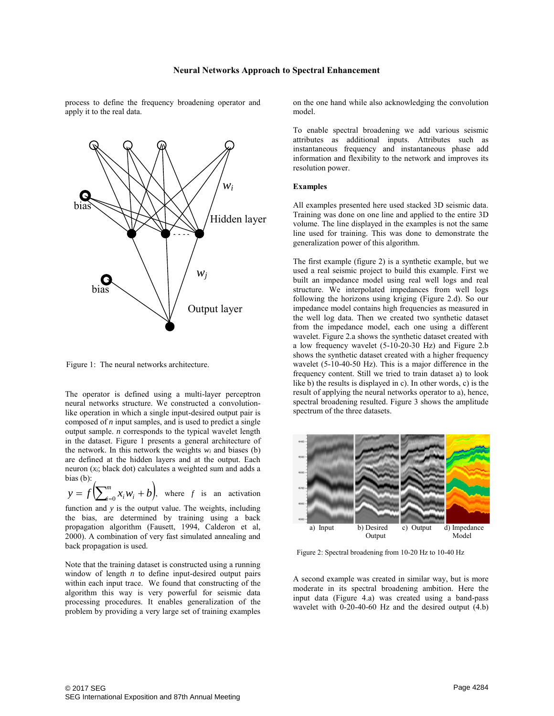process to define the frequency broadening operator and apply it to the real data.



Figure 1: The neural networks architecture.

The operator is defined using a multi-layer perceptron neural networks structure. We constructed a convolutionlike operation in which a single input-desired output pair is composed of *n* input samples, and is used to predict a single output sample. *n* corresponds to the typical wavelet length in the dataset. Figure 1 presents a general architecture of the network. In this network the weights  $w_i$  and biases (b) are defined at the hidden layers and at the output. Each neuron  $(x_i)$ ; black dot) calculates a weighted sum and adds a bias (b):

 $= f\left(\sum_{i=0}^{m} x_i w_i + b\right),$  $y = f\left(\sum_{i=0}^{m} x_i w_i + b\right)$ , where *f* is an activation

function and *y* is the output value. The weights, including the bias, are determined by training using a back propagation algorithm (Fausett, 1994, Calderon et al, 2000). A combination of very fast simulated annealing and back propagation is used.

Note that the training dataset is constructed using a running window of length *n* to define input-desired output pairs within each input trace. We found that constructing of the algorithm this way is very powerful for seismic data processing procedures. It enables generalization of the problem by providing a very large set of training examples

on the one hand while also acknowledging the convolution model.

To enable spectral broadening we add various seismic attributes as additional inputs. Attributes such as instantaneous frequency and instantaneous phase add information and flexibility to the network and improves its resolution power.

#### **Examples**

All examples presented here used stacked 3D seismic data. Training was done on one line and applied to the entire 3D volume. The line displayed in the examples is not the same line used for training. This was done to demonstrate the generalization power of this algorithm.

The first example (figure 2) is a synthetic example, but we used a real seismic project to build this example. First we built an impedance model using real well logs and real structure. We interpolated impedances from well logs following the horizons using kriging (Figure 2.d). So our impedance model contains high frequencies as measured in the well log data. Then we created two synthetic dataset from the impedance model, each one using a different wavelet. Figure 2.a shows the synthetic dataset created with a low frequency wavelet (5-10-20-30 Hz) and Figure 2.b shows the synthetic dataset created with a higher frequency wavelet (5-10-40-50 Hz). This is a major difference in the frequency content. Still we tried to train dataset a) to look like b) the results is displayed in c). In other words, c) is the result of applying the neural networks operator to a), hence, spectral broadening resulted. Figure 3 shows the amplitude spectrum of the three datasets.



Figure 2: Spectral broadening from 10-20 Hz to 10-40 Hz

A second example was created in similar way, but is more moderate in its spectral broadening ambition. Here the input data (Figure 4.a) was created using a band-pass wavelet with 0-20-40-60 Hz and the desired output (4.b)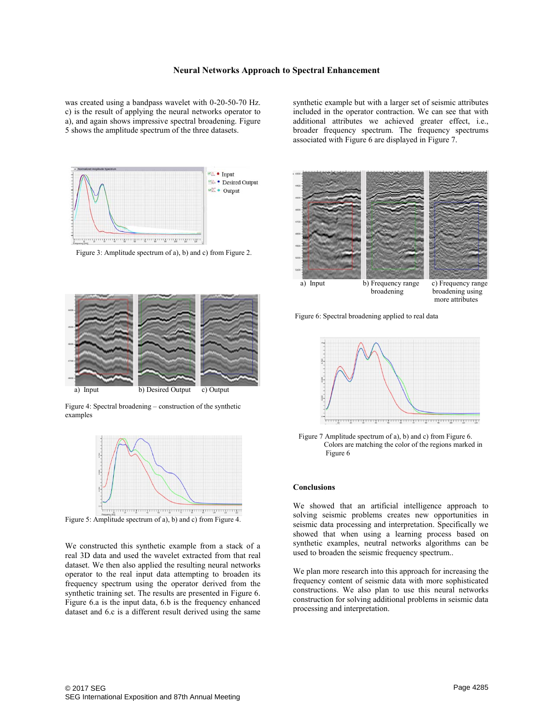### **Neural Networks Approach to Spectral Enhancement**

was created using a bandpass wavelet with 0-20-50-70 Hz. c) is the result of applying the neural networks operator to a), and again shows impressive spectral broadening. Figure 5 shows the amplitude spectrum of the three datasets.



Figure 3: Amplitude spectrum of a), b) and c) from Figure 2.



Figure 4: Spectral broadening – construction of the synthetic examples



Figure 5: Amplitude spectrum of a), b) and c) from Figure 4.

We constructed this synthetic example from a stack of a real 3D data and used the wavelet extracted from that real dataset. We then also applied the resulting neural networks operator to the real input data attempting to broaden its frequency spectrum using the operator derived from the synthetic training set. The results are presented in Figure 6. Figure 6.a is the input data, 6.b is the frequency enhanced dataset and 6.c is a different result derived using the same

synthetic example but with a larger set of seismic attributes included in the operator contraction. We can see that with additional attributes we achieved greater effect, i.e., broader frequency spectrum. The frequency spectrums associated with Figure 6 are displayed in Figure 7.



Figure 6: Spectral broadening applied to real data



 Figure 7 Amplitude spectrum of a), b) and c) from Figure 6. Colors are matching the color of the regions marked in Figure 6

#### **Conclusions**

We showed that an artificial intelligence approach to solving seismic problems creates new opportunities in seismic data processing and interpretation. Specifically we showed that when using a learning process based on synthetic examples, neutral networks algorithms can be used to broaden the seismic frequency spectrum..

We plan more research into this approach for increasing the frequency content of seismic data with more sophisticated constructions. We also plan to use this neural networks construction for solving additional problems in seismic data processing and interpretation.